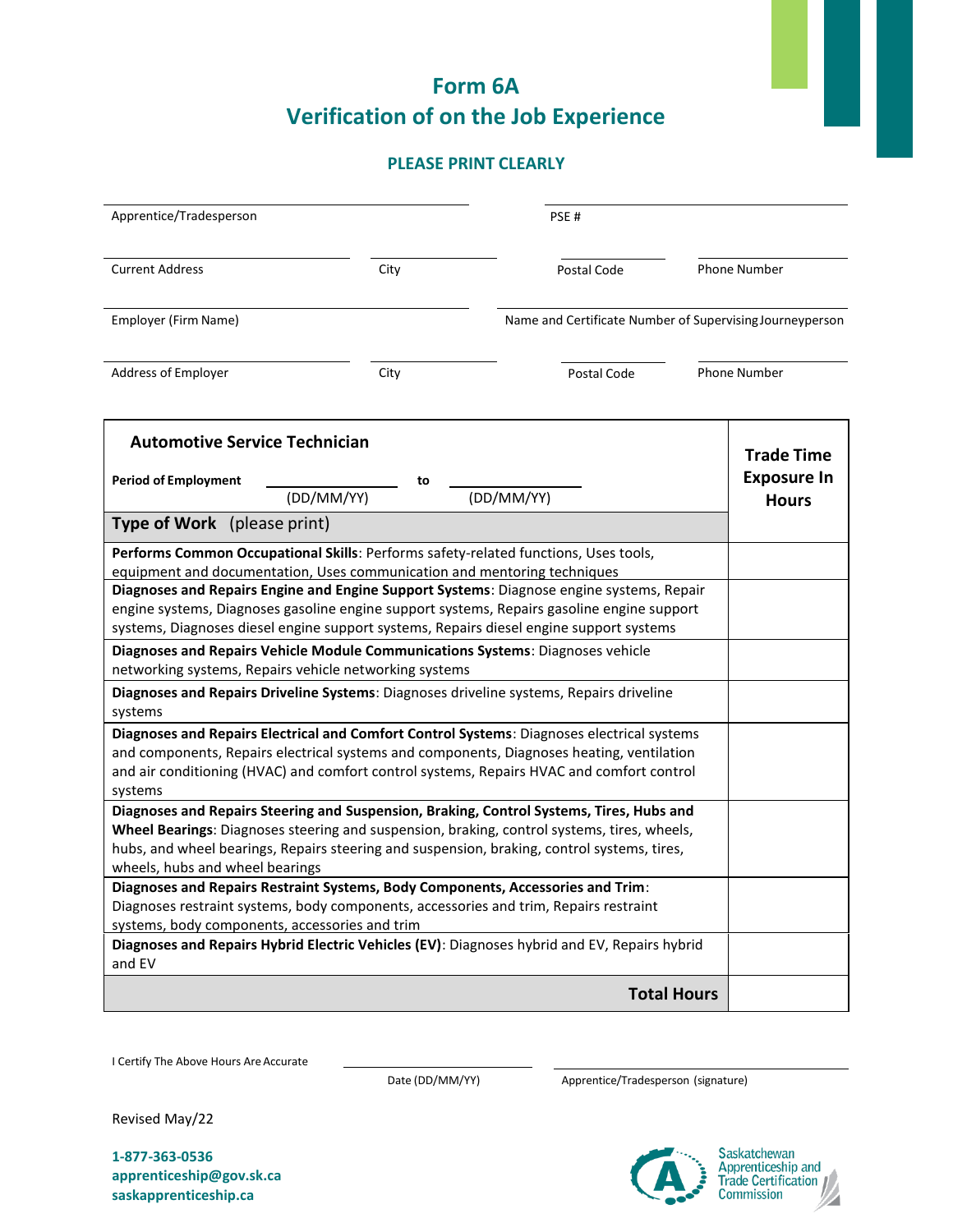## **Form 6A Verification of on the Job Experience**

## **PLEASE PRINT CLEARLY**

| Apprentice/Tradesperson                                                                                                                                                                                                                                                                                                                                                                                                                                                                                                                                                                                                                                                                                                                                                                                                                                                                                                                                                                                                                                                                                                                                                                                                                                                                                                                                                                                                   |            |      |  | PSE#                                                                                                                                                                                  |                    |                                    |
|---------------------------------------------------------------------------------------------------------------------------------------------------------------------------------------------------------------------------------------------------------------------------------------------------------------------------------------------------------------------------------------------------------------------------------------------------------------------------------------------------------------------------------------------------------------------------------------------------------------------------------------------------------------------------------------------------------------------------------------------------------------------------------------------------------------------------------------------------------------------------------------------------------------------------------------------------------------------------------------------------------------------------------------------------------------------------------------------------------------------------------------------------------------------------------------------------------------------------------------------------------------------------------------------------------------------------------------------------------------------------------------------------------------------------|------------|------|--|---------------------------------------------------------------------------------------------------------------------------------------------------------------------------------------|--------------------|------------------------------------|
|                                                                                                                                                                                                                                                                                                                                                                                                                                                                                                                                                                                                                                                                                                                                                                                                                                                                                                                                                                                                                                                                                                                                                                                                                                                                                                                                                                                                                           |            |      |  |                                                                                                                                                                                       |                    |                                    |
| <b>Current Address</b>                                                                                                                                                                                                                                                                                                                                                                                                                                                                                                                                                                                                                                                                                                                                                                                                                                                                                                                                                                                                                                                                                                                                                                                                                                                                                                                                                                                                    |            | City |  | Postal Code                                                                                                                                                                           |                    | Phone Number                       |
| Employer (Firm Name)                                                                                                                                                                                                                                                                                                                                                                                                                                                                                                                                                                                                                                                                                                                                                                                                                                                                                                                                                                                                                                                                                                                                                                                                                                                                                                                                                                                                      |            |      |  | Name and Certificate Number of Supervising Journeyperson                                                                                                                              |                    |                                    |
| Address of Employer                                                                                                                                                                                                                                                                                                                                                                                                                                                                                                                                                                                                                                                                                                                                                                                                                                                                                                                                                                                                                                                                                                                                                                                                                                                                                                                                                                                                       |            | City |  | Postal Code                                                                                                                                                                           |                    | Phone Number                       |
| <b>Automotive Service Technician</b>                                                                                                                                                                                                                                                                                                                                                                                                                                                                                                                                                                                                                                                                                                                                                                                                                                                                                                                                                                                                                                                                                                                                                                                                                                                                                                                                                                                      |            |      |  |                                                                                                                                                                                       |                    | <b>Trade Time</b>                  |
| <b>Period of Employment</b>                                                                                                                                                                                                                                                                                                                                                                                                                                                                                                                                                                                                                                                                                                                                                                                                                                                                                                                                                                                                                                                                                                                                                                                                                                                                                                                                                                                               | (DD/MM/YY) | to   |  | (DD/MM/YY)                                                                                                                                                                            |                    | <b>Exposure In</b><br><b>Hours</b> |
| <b>Type of Work</b> (please print)                                                                                                                                                                                                                                                                                                                                                                                                                                                                                                                                                                                                                                                                                                                                                                                                                                                                                                                                                                                                                                                                                                                                                                                                                                                                                                                                                                                        |            |      |  |                                                                                                                                                                                       |                    |                                    |
| Performs Common Occupational Skills: Performs safety-related functions, Uses tools,<br>equipment and documentation, Uses communication and mentoring techniques<br>Diagnoses and Repairs Engine and Engine Support Systems: Diagnose engine systems, Repair<br>engine systems, Diagnoses gasoline engine support systems, Repairs gasoline engine support<br>systems, Diagnoses diesel engine support systems, Repairs diesel engine support systems<br>Diagnoses and Repairs Vehicle Module Communications Systems: Diagnoses vehicle<br>networking systems, Repairs vehicle networking systems<br>Diagnoses and Repairs Driveline Systems: Diagnoses driveline systems, Repairs driveline<br>systems<br>Diagnoses and Repairs Electrical and Comfort Control Systems: Diagnoses electrical systems<br>and components, Repairs electrical systems and components, Diagnoses heating, ventilation<br>and air conditioning (HVAC) and comfort control systems, Repairs HVAC and comfort control<br>systems<br>Diagnoses and Repairs Steering and Suspension, Braking, Control Systems, Tires, Hubs and<br>Wheel Bearings: Diagnoses steering and suspension, braking, control systems, tires, wheels,<br>hubs, and wheel bearings, Repairs steering and suspension, braking, control systems, tires,<br>wheels, hubs and wheel bearings<br>Diagnoses and Repairs Restraint Systems, Body Components, Accessories and Trim: |            |      |  |                                                                                                                                                                                       |                    |                                    |
| systems, body components, accessories and trim<br>and EV                                                                                                                                                                                                                                                                                                                                                                                                                                                                                                                                                                                                                                                                                                                                                                                                                                                                                                                                                                                                                                                                                                                                                                                                                                                                                                                                                                  |            |      |  | Diagnoses restraint systems, body components, accessories and trim, Repairs restraint<br>Diagnoses and Repairs Hybrid Electric Vehicles (EV): Diagnoses hybrid and EV, Repairs hybrid |                    |                                    |
|                                                                                                                                                                                                                                                                                                                                                                                                                                                                                                                                                                                                                                                                                                                                                                                                                                                                                                                                                                                                                                                                                                                                                                                                                                                                                                                                                                                                                           |            |      |  |                                                                                                                                                                                       | <b>Total Hours</b> |                                    |

I Certify The Above Hours Are Accurate

Date (DD/MM/YY) Apprentice/Tradesperson (signature)

Revised May/22

**1-877-363-0536 apprenticeship@gov.sk.ca saskapprenticeship.ca**